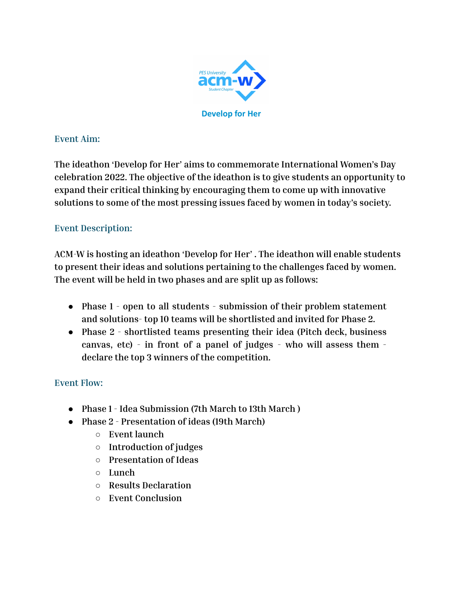

### **Event Aim:**

**The ideathon 'Develop for Her' aims to commemorate International Women's Day celebration 2022. The objective of the ideathon is to give students an opportunity to expand their critical thinking by encouraging them to come up with innovative solutions to some of the most pressing issues faced by women in today's society.**

# **Event Description:**

**ACM-W is hosting an ideathon 'Develop for Her' . The ideathon will enable students to present their ideas and solutions pertaining to the challenges faced by women. The event will be held in two phases and are split up as follows:**

- **● Phase 1 - open to all students - submission of their problem statement and solutions- top 10 teams will be shortlisted and invited for Phase 2.**
- **● Phase 2 - shortlisted teams presenting their idea (Pitch deck, business canvas, etc) - in front of a panel of judges - who will assess them declare the top 3 winners of the competition.**

# **Event Flow:**

- **● Phase 1 - Idea Submission (7th March to 13th March )**
- **● Phase 2 - Presentation of ideas (19th March)**
	- **○ Event launch**
	- **○ Introduction of judges**
	- **○ Presentation of Ideas**
	- **○ Lunch**
	- **○ Results Declaration**
	- **○ Event Conclusion**